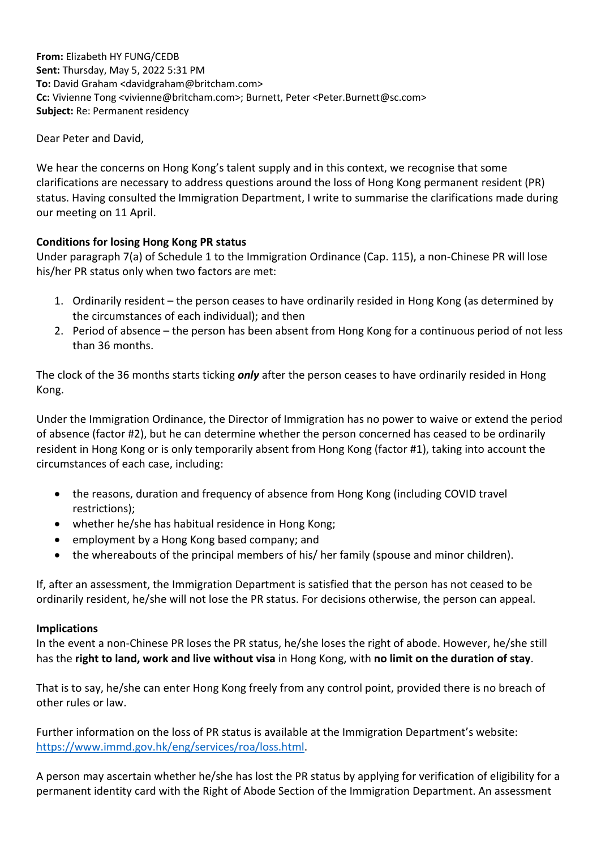**From:** Elizabeth HY FUNG/CEDB **Sent:** Thursday, May 5, 2022 5:31 PM **To:** David Graham <davidgraham@britcham.com> **Cc:** Vivienne Tong <vivienne@britcham.com>; Burnett, Peter <Peter.Burnett@sc.com> **Subject:** Re: Permanent residency

Dear Peter and David,

We hear the concerns on Hong Kong's talent supply and in this context, we recognise that some clarifications are necessary to address questions around the loss of Hong Kong permanent resident (PR) status. Having consulted the Immigration Department, I write to summarise the clarifications made during our meeting on 11 April.

## **Conditions for losing Hong Kong PR status**

Under paragraph 7(a) of Schedule 1 to the Immigration Ordinance (Cap. 115), a non-Chinese PR will lose his/her PR status only when two factors are met:

- 1. Ordinarily resident the person ceases to have ordinarily resided in Hong Kong (as determined by the circumstances of each individual); and then
- 2. Period of absence the person has been absent from Hong Kong for a continuous period of not less than 36 months.

The clock of the 36 months starts ticking *only* after the person ceases to have ordinarily resided in Hong Kong.

Under the Immigration Ordinance, the Director of Immigration has no power to waive or extend the period of absence (factor #2), but he can determine whether the person concerned has ceased to be ordinarily resident in Hong Kong or is only temporarily absent from Hong Kong (factor #1), taking into account the circumstances of each case, including:

- the reasons, duration and frequency of absence from Hong Kong (including COVID travel restrictions);
- whether he/she has habitual residence in Hong Kong;
- employment by a Hong Kong based company; and
- the whereabouts of the principal members of his/ her family (spouse and minor children).

If, after an assessment, the Immigration Department is satisfied that the person has not ceased to be ordinarily resident, he/she will not lose the PR status. For decisions otherwise, the person can appeal.

## **Implications**

In the event a non-Chinese PR loses the PR status, he/she loses the right of abode. However, he/she still has the **right to land, work and live without visa** in Hong Kong, with **no limit on the duration of stay**.

That is to say, he/she can enter Hong Kong freely from any control point, provided there is no breach of other rules or law.

Further information on the loss of PR status is available at the Immigration Department's website: [https://www.immd.gov.hk/eng/services/roa/loss.html.](https://www.immd.gov.hk/eng/services/roa/loss.html)

A person may ascertain whether he/she has lost the PR status by applying for verification of eligibility for a permanent identity card with the Right of Abode Section of the Immigration Department. An assessment